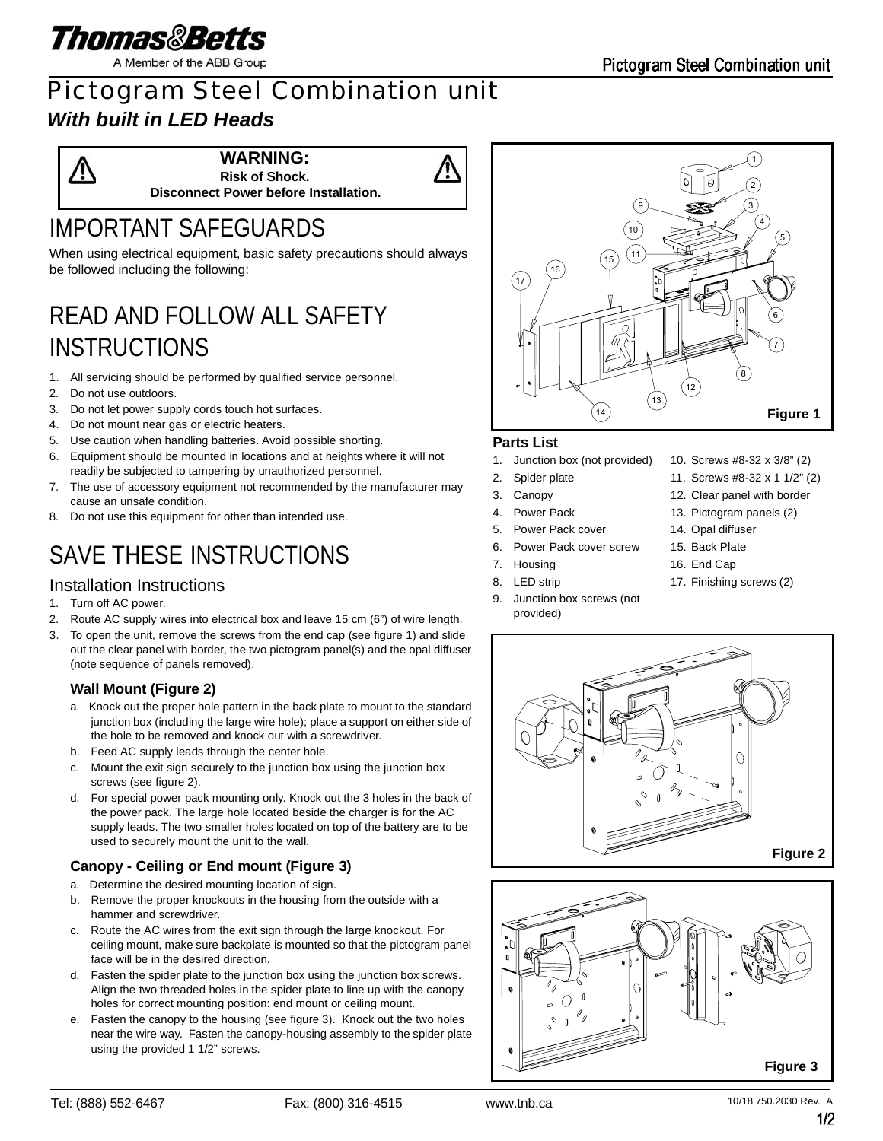

A Member of the ABB Group

### Pictogram Steel Combination unit *With built in LED Heads*

**WARNING: Risk of Shock.**

**Disconnect Power before Installation.**

## IMPORTANT SAFEGUARDS

When using electrical equipment, basic safety precautions should always be followed including the following:

# READ AND FOLLOW ALL SAFETY **INSTRUCTIONS**

- 1. All servicing should be performed by qualified service personnel.
- 2. Do not use outdoors.
- 3. Do not let power supply cords touch hot surfaces.
- 4. Do not mount near gas or electric heaters.
- 5. Use caution when handling batteries. Avoid possible shorting.
- 6. Equipment should be mounted in locations and at heights where it will not readily be subjected to tampering by unauthorized personnel.
- 7. The use of accessory equipment not recommended by the manufacturer may cause an unsafe condition.
- 8. Do not use this equipment for other than intended use.

# SAVE THESE INSTRUCTIONS

### Installation Instructions

- 1. Turn off AC power.
- 2. Route AC supply wires into electrical box and leave 15 cm (6") of wire length.
- 3. To open the unit, remove the screws from the end cap (see figure 1) and slide out the clear panel with border, the two pictogram panel(s) and the opal diffuser (note sequence of panels removed).

#### **Wall Mount (Figure 2)**

- a. Knock out the proper hole pattern in the back plate to mount to the standard junction box (including the large wire hole); place a support on either side of the hole to be removed and knock out with a screwdriver.
- b. Feed AC supply leads through the center hole.
- c. Mount the exit sign securely to the junction box using the junction box screws (see figure 2).
- d. For special power pack mounting only. Knock out the 3 holes in the back of the power pack. The large hole located beside the charger is for the AC supply leads. The two smaller holes located on top of the battery are to be used to securely mount the unit to the wall.

### **Canopy - Ceiling or End mount (Figure 3)**

- a. Determine the desired mounting location of sign.
- b. Remove the proper knockouts in the housing from the outside with a hammer and screwdriver.
- c. Route the AC wires from the exit sign through the large knockout. For ceiling mount, make sure backplate is mounted so that the pictogram panel face will be in the desired direction.
- d. Fasten the spider plate to the junction box using the junction box screws. Align the two threaded holes in the spider plate to line up with the canopy holes for correct mounting position: end mount or ceiling mount.
- e. Fasten the canopy to the housing (see figure 3). Knock out the two holes near the wire way. Fasten the canopy-housing assembly to the spider plate using the provided 1 1/2" screws.



#### **Parts List**

- 1. Junction box (not provided)
- 2. Spider plate
- 3. Canopy
- 4. Power Pack
- 5. Power Pack cover
- 6. Power Pack cover screw
- 7. Housing
- 8. LED strip
- 9. Junction box screws (not provided)
- 10. Screws #8-32 x 3/8" (2)
- 11. Screws #8-32 x 1 1/2" (2)
- 12. Clear panel with border
- 13. Pictogram panels (2)
- 14. Opal diffuser
- 15. Back Plate
- 16. End Cap
- 17. Finishing screws (2)